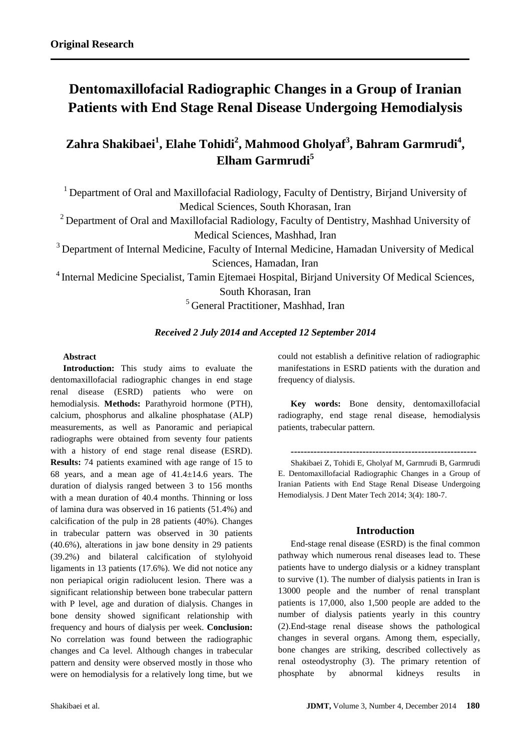# **Dentomaxillofacial Radiographic Changes in a Group of Iranian Patients with End Stage Renal Disease Undergoing Hemodialysis**

## **Zahra Shakibaei<sup>1</sup> , Elahe Tohidi<sup>2</sup> , Mahmood Gholyaf<sup>3</sup> , Bahram Garmrudi<sup>4</sup> , Elham Garmrudi<sup>5</sup>**

<sup>1</sup> Department of Oral and Maxillofacial Radiology, Faculty of Dentistry, Birjand University of Medical Sciences, South Khorasan, Iran

<sup>2</sup> Department of Oral and Maxillofacial Radiology, Faculty of Dentistry, Mashhad University of Medical Sciences, Mashhad, Iran

 $3$  Department of Internal Medicine, Faculty of Internal Medicine, Hamadan University of Medical Sciences, Hamadan, Iran

<sup>4</sup> Internal Medicine Specialist, Tamin Ejtemaei Hospital, Birjand University Of Medical Sciences, South Khorasan, Iran

<sup>5</sup> General Practitioner, Mashhad, Iran

## *Received 2 July 2014 and Accepted 12 September 2014*

## **Abstract**

**Introduction:** This study aims to evaluate the dentomaxillofacial radiographic changes in end stage renal disease (ESRD) patients who were on hemodialysis. **Methods:** Parathyroid hormone (PTH), calcium, phosphorus and alkaline phosphatase (ALP) measurements, as well as Panoramic and periapical radiographs were obtained from seventy four patients with a history of end stage renal disease (ESRD). **Results:** 74 patients examined with age range of 15 to 68 years, and a mean age of  $41.4 \pm 14.6$  years. The duration of dialysis ranged between 3 to 156 months with a mean duration of 40.4 months. Thinning or loss of lamina dura was observed in 16 patients (51.4%) and calcification of the pulp in 28 patients (40%). Changes in trabecular pattern was observed in 30 patients (40.6%), alterations in jaw bone density in 29 patients (39.2%) and bilateral calcification of stylohyoid ligaments in 13 patients (17.6%). We did not notice any non periapical origin radiolucent lesion. There was a significant relationship between bone trabecular pattern with P level, age and duration of dialysis. Changes in bone density showed significant relationship with frequency and hours of dialysis per week. **Conclusion:** No correlation was found between the radiographic changes and Ca level. Although changes in trabecular pattern and density were observed mostly in those who were on hemodialysis for a relatively long time, but we could not establish a definitive relation of radiographic manifestations in ESRD patients with the duration and frequency of dialysis.

**Key words:** Bone density, dentomaxillofacial radiography, end stage renal disease, hemodialysis patients, trabecular pattern.

**---------------------------------------------------------** Shakibaei Z, Tohidi E, Gholyaf M, Garmrudi B, Garmrudi E. Dentomaxillofacial Radiographic Changes in a Group of Iranian Patients with End Stage Renal Disease Undergoing Hemodialysis. J Dent Mater Tech 2014; 3(4): 180-7.

## **Introduction**

End-stage renal disease (ESRD) is the final common pathway which numerous renal diseases lead to. These patients have to undergo dialysis or a kidney transplant to survive (1). The number of dialysis patients in Iran is 13000 people and the number of renal transplant patients is 17,000, also 1,500 people are added to the number of dialysis patients yearly in this country (2).End-stage renal disease shows the pathological changes in several organs. Among them, especially, bone changes are striking, described collectively as renal osteodystrophy (3). The primary retention of phosphate by abnormal kidneys results in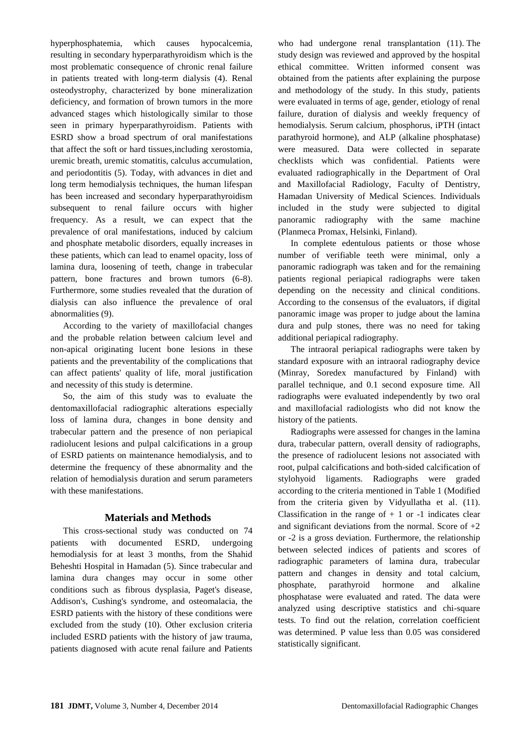hyperphosphatemia, which causes hypocalcemia, resulting in secondary hyperparathyroidism which is the most problematic consequence of chronic renal failure in patients treated with long-term dialysis (4). Renal osteodystrophy, characterized by bone mineralization deficiency, and formation of brown tumors in the more advanced stages which histologically similar to those seen in primary hyperparathyroidism. Patients with ESRD show a broad spectrum of oral manifestations that affect the soft or hard tissues,including xerostomia, uremic breath, uremic stomatitis, calculus accumulation, and periodontitis (5). Today, with advances in diet and long term hemodialysis techniques, the human lifespan has been increased and secondary hyperparathyroidism subsequent to renal failure occurs with higher frequency. As a result, we can expect that the prevalence of oral manifestations, induced by calcium and phosphate metabolic disorders, equally increases in these patients, which can lead to enamel opacity, loss of lamina dura, loosening of teeth, change in trabecular pattern, bone fractures and brown tumors (6-8). Furthermore, some studies revealed that the duration of dialysis can also influence the prevalence of oral abnormalities (9).

According to the variety of maxillofacial changes and the probable relation between calcium level and non-apical originating lucent bone lesions in these patients and the preventability of the complications that can affect patients' quality of life, moral justification and necessity of this study is determine.

So, the aim of this study was to evaluate the dentomaxillofacial radiographic alterations especially loss of lamina dura, changes in bone density and trabecular pattern and the presence of non periapical radiolucent lesions and pulpal calcifications in a group of ESRD patients on maintenance hemodialysis, and to determine the frequency of these abnormality and the relation of hemodialysis duration and serum parameters with these manifestations.

#### **Materials and Methods**

This cross-sectional study was conducted on 74 patients with documented ESRD, undergoing hemodialysis for at least 3 months, from the Shahid Beheshti Hospital in Hamadan (5). Since trabecular and lamina dura changes may occur in some other conditions such as fibrous dysplasia, Paget's disease, Addison's, Cushing's syndrome, and osteomalacia, the ESRD patients with the history of these conditions were excluded from the study (10). Other exclusion criteria included ESRD patients with the history of jaw trauma, patients diagnosed with acute renal failure and Patients who had undergone renal transplantation (11). The study design was reviewed and approved by the hospital ethical committee. Written informed consent was obtained from the patients after explaining the purpose and methodology of the study. In this study, patients were evaluated in terms of age, gender, etiology of renal failure, duration of dialysis and weekly frequency of hemodialysis. Serum calcium, phosphorus, iPTH (intact parathyroid hormone), and ALP (alkaline phosphatase) were measured. Data were collected in separate checklists which was confidential. Patients were evaluated radiographically in the Department of Oral and Maxillofacial Radiology, Faculty of Dentistry, Hamadan University of Medical Sciences. Individuals included in the study were subjected to digital panoramic radiography with the same machine (Planmeca Promax, Helsinki, Finland).

In complete edentulous patients or those whose number of verifiable teeth were minimal, only a panoramic radiograph was taken and for the remaining patients regional periapical radiographs were taken depending on the necessity and clinical conditions. According to the consensus of the evaluators, if digital panoramic image was proper to judge about the lamina dura and pulp stones, there was no need for taking additional periapical radiography.

The intraoral periapical radiographs were taken by standard exposure with an intraoral radiography device (Minray, Soredex manufactured by Finland) with parallel technique, and 0.1 second exposure time. All radiographs were evaluated independently by two oral and maxillofacial radiologists who did not know the history of the patients.

Radiographs were assessed for changes in the lamina dura, trabecular pattern, overall density of radiographs, the presence of radiolucent lesions not associated with root, pulpal calcifications and both-sided calcification of stylohyoid ligaments. Radiographs were graded according to the criteria mentioned in Table 1 (Modified from the criteria given by Vidyullatha et al. (11). Classification in the range of  $+1$  or  $-1$  indicates clear and significant deviations from the normal. Score of +2 or -2 is a gross deviation. Furthermore, the relationship between selected indices of patients and scores of radiographic parameters of lamina dura, trabecular pattern and changes in density and total calcium, phosphate, parathyroid hormone and alkaline phosphatase were evaluated and rated. The data were analyzed using descriptive statistics and chi-square tests. To find out the relation, correlation coefficient was determined. P value less than 0.05 was considered statistically significant.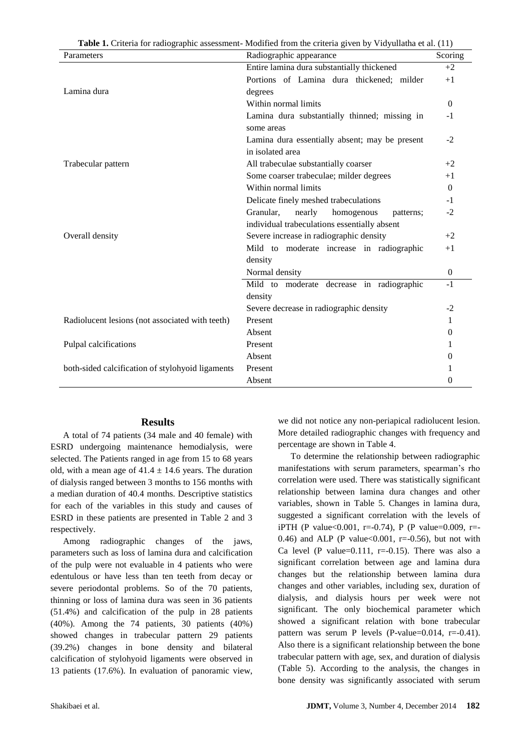| Table 1. Criteria for radiographic assessment-Modified from the criteria given by Vidyullatha et al. (11) |  |  |
|-----------------------------------------------------------------------------------------------------------|--|--|
|-----------------------------------------------------------------------------------------------------------|--|--|

| Parameters                                       | Radiographic appearance                        | Scoring        |
|--------------------------------------------------|------------------------------------------------|----------------|
|                                                  | Entire lamina dura substantially thickened     | $+2$           |
|                                                  | Portions of Lamina dura thickened; milder      | $+1$           |
| Lamina dura                                      | degrees                                        |                |
|                                                  | Within normal limits                           | $\Omega$       |
|                                                  | Lamina dura substantially thinned; missing in  | $-1$           |
|                                                  | some areas                                     |                |
|                                                  | Lamina dura essentially absent; may be present | $-2$           |
|                                                  | in isolated area                               |                |
| Trabecular pattern                               | All trabeculae substantially coarser           | $+2$           |
|                                                  | Some coarser trabeculae; milder degrees        | $+1$           |
|                                                  | Within normal limits                           | $\Omega$       |
|                                                  | Delicate finely meshed trabeculations          | $-1$           |
|                                                  | Granular,<br>nearly<br>homogenous<br>patterns; | $-2$           |
|                                                  | individual trabeculations essentially absent   |                |
| Overall density                                  | Severe increase in radiographic density        | $+2$           |
|                                                  | Mild to moderate increase in radiographic      | $+1$           |
|                                                  | density                                        |                |
|                                                  | Normal density                                 | $\overline{0}$ |
|                                                  | Mild to moderate decrease in radiographic      | $-1$           |
|                                                  | density                                        |                |
|                                                  | Severe decrease in radiographic density        | $-2$           |
| Radiolucent lesions (not associated with teeth)  | Present                                        | 1              |
|                                                  | Absent                                         | $\Omega$       |
| Pulpal calcifications                            | Present                                        | 1              |
|                                                  | Absent                                         | $\Omega$       |
| both-sided calcification of stylohyoid ligaments | Present                                        |                |
|                                                  | Absent                                         | $\Omega$       |

#### **Results**

A total of 74 patients (34 male and 40 female) with ESRD undergoing maintenance hemodialysis, were selected. The Patients ranged in age from 15 to 68 years old, with a mean age of  $41.4 \pm 14.6$  years. The duration of dialysis ranged between 3 months to 156 months with a median duration of 40.4 months. Descriptive statistics for each of the variables in this study and causes of ESRD in these patients are presented in Table 2 and 3 respectively.

Among radiographic changes of the jaws, parameters such as loss of lamina dura and calcification of the pulp were not evaluable in 4 patients who were edentulous or have less than ten teeth from decay or severe periodontal problems. So of the 70 patients, thinning or loss of lamina dura was seen in 36 patients (51.4%) and calcification of the pulp in 28 patients (40%). Among the 74 patients, 30 patients (40%) showed changes in trabecular pattern 29 patients (39.2%) changes in bone density and bilateral calcification of stylohyoid ligaments were observed in 13 patients (17.6%). In evaluation of panoramic view, we did not notice any non-periapical radiolucent lesion. More detailed radiographic changes with frequency and percentage are shown in Table 4.

To determine the relationship between radiographic manifestations with serum parameters, spearman's rho correlation were used. There was statistically significant relationship between lamina dura changes and other variables, shown in Table 5. Changes in lamina dura, suggested a significant correlation with the levels of iPTH (P value<0.001, r=-0.74), P (P value=0.009, r=-0.46) and ALP (P value<0.001,  $r = -0.56$ ), but not with Ca level (P value= $0.111$ , r= $-0.15$ ). There was also a significant correlation between age and lamina dura changes but the relationship between lamina dura changes and other variables, including sex, duration of dialysis, and dialysis hours per week were not significant. The only biochemical parameter which showed a significant relation with bone trabecular pattern was serum P levels (P-value=0.014, r=-0.41). Also there is a significant relationship between the bone trabecular pattern with age, sex, and duration of dialysis (Table 5). According to the analysis, the changes in bone density was significantly associated with serum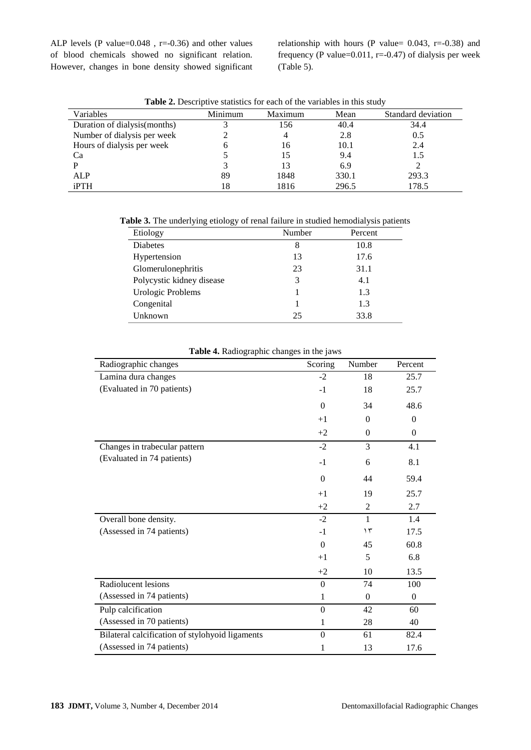ALP levels (P value=0.048 , r=-0.36) and other values of blood chemicals showed no significant relation. However, changes in bone density showed significant relationship with hours (P value=  $0.043$ , r=-0.38) and frequency (P value=0.011, r=-0.47) of dialysis per week (Table 5).

| <b>Table 2.</b> Descriptive statistics for each of the variables in this study |         |         |       |                    |
|--------------------------------------------------------------------------------|---------|---------|-------|--------------------|
| Variables                                                                      | Minimum | Maximum | Mean  | Standard deviation |
| Duration of dialysis (months)                                                  |         | 156     | 40.4  | 34.4               |
| Number of dialysis per week                                                    |         |         | 2.8   | 0.5                |
| Hours of dialysis per week                                                     |         | 16      | 10.1  | 2.4                |
| Ca                                                                             |         |         | 9.4   | 1.5                |
|                                                                                |         |         | 6.9   |                    |
| ALP                                                                            | 89      | 1848    | 330.1 | 293.3              |
| iPTH                                                                           | 18      | 1816    | 296.5 | 178.5              |

**Table 2.** Descriptive statistics for each of the variables in this study

**Table 3.** The underlying etiology of renal failure in studied hemodialysis patients

| Etiology                  | Number | Percent |
|---------------------------|--------|---------|
| <b>Diabetes</b>           | 8      | 10.8    |
| Hypertension              | 13     | 17.6    |
| Glomerulonephritis        | 23     | 31.1    |
| Polycystic kidney disease | 3      | 4.1     |
| Urologic Problems         |        | 1.3     |
| Congenital                |        | 1.3     |
| Unknown                   | 25     | 33.8    |

| Radiographic changes                            | $\overline{\text{S} \text{coring}}$ | Number         | Percent      |
|-------------------------------------------------|-------------------------------------|----------------|--------------|
| Lamina dura changes                             | $-2$                                | 18             | 25.7         |
| (Evaluated in 70 patients)                      | $-1$                                | 18             | 25.7         |
|                                                 | $\boldsymbol{0}$                    | 34             | 48.6         |
|                                                 | $+1$                                | $\Omega$       | $\mathbf{0}$ |
|                                                 | $+2$                                | $\mathbf{0}$   | $\mathbf{0}$ |
| Changes in trabecular pattern                   | $-2$                                | 3              | 4.1          |
| (Evaluated in 74 patients)                      | $-1$                                | 6              | 8.1          |
|                                                 | $\theta$                            | 44             | 59.4         |
|                                                 | $+1$                                | 19             | 25.7         |
|                                                 | $+2$                                | $\overline{2}$ | 2.7          |
| Overall bone density.                           | $-2$                                | $\mathbf{1}$   | 1.4          |
| (Assessed in 74 patients)                       | $-1$                                | $\gamma$       | 17.5         |
|                                                 | $\theta$                            | 45             | 60.8         |
|                                                 | $+1$                                | 5              | 6.8          |
|                                                 | $+2$                                | 10             | 13.5         |
| Radiolucent lesions                             | $\theta$                            | 74             | 100          |
| (Assessed in 74 patients)                       | 1                                   | $\Omega$       | $\Omega$     |
| Pulp calcification                              | $\boldsymbol{0}$                    | 42             | 60           |
| (Assessed in 70 patients)                       | 1                                   | 28             | 40           |
| Bilateral calcification of stylohyoid ligaments | $\overline{0}$                      | 61             | 82.4         |
| (Assessed in 74 patients)                       | 1                                   | 13             | 17.6         |

**Table 4.** Radiographic changes in the jaws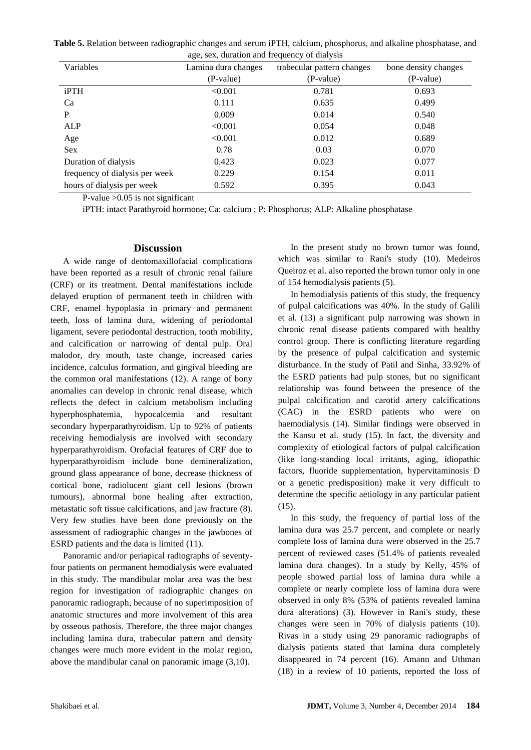**Table 5.** Relation between radiographic changes and serum iPTH, calcium, phosphorus, and alkaline phosphatase, and age, sex, duration and frequency of dialysis

| Variables                      | Lamina dura changes | trabecular pattern changes | bone density changes |
|--------------------------------|---------------------|----------------------------|----------------------|
|                                | (P-value)           | (P-value)                  | (P-value)            |
| iPTH                           | < 0.001             | 0.781                      | 0.693                |
| Ca                             | 0.111               | 0.635                      | 0.499                |
| P                              | 0.009               | 0.014                      | 0.540                |
| <b>ALP</b>                     | < 0.001             | 0.054                      | 0.048                |
| Age                            | < 0.001             | 0.012                      | 0.689                |
| Sex                            | 0.78                | 0.03                       | 0.070                |
| Duration of dialysis           | 0.423               | 0.023                      | 0.077                |
| frequency of dialysis per week | 0.229               | 0.154                      | 0.011                |
| hours of dialysis per week     | 0.592               | 0.395                      | 0.043                |

P-value >0.05 is not significant

iPTH: intact Parathyroid hormone; Ca: calcium ; P: Phosphorus; ALP: Alkaline phosphatase

## **Discussion**

A wide range of dentomaxillofacial complications have been reported as a result of chronic renal failure (CRF) or its treatment. Dental manifestations include delayed eruption of permanent teeth in children with CRF, enamel hypoplasia in primary and permanent teeth, loss of lamina dura, widening of periodontal ligament, severe periodontal destruction, tooth mobility, and calcification or narrowing of dental pulp. Oral malodor, dry mouth, taste change, increased caries incidence, calculus formation, and gingival bleeding are the common oral manifestations (12). A range of bony anomalies can develop in chronic renal disease, which reflects the defect in calcium metabolism including hyperphosphatemia, hypocalcemia and resultant secondary hyperparathyroidism. Up to 92% of patients receiving hemodialysis are involved with secondary hyperparathyroidism. Orofacial features of CRF due to hyperparathyroidism include bone demineralization, ground glass appearance of bone, decrease thickness of cortical bone, radiolucent giant cell lesions (brown tumours), abnormal bone healing after extraction, metastatic soft tissue calcifications, and jaw fracture (8). Very few studies have been done previously on the assessment of radiographic changes in the jawbones of ESRD patients and the data is limited (11).

Panoramic and/or periapical radiographs of seventyfour patients on permanent hemodialysis were evaluated in this study. The mandibular molar area was the best region for investigation of radiographic changes on panoramic radiograph, because of no superimposition of anatomic structures and more involvement of this area by osseous pathosis. Therefore, the three major changes including lamina dura, trabecular pattern and density changes were much more evident in the molar region, above the mandibular canal on panoramic image (3,10).

In the present study no brown tumor was found, which was similar to Rani's study (10). Medeiros Queiroz et al. also reported the brown tumor only in one of 154 hemodialysis patients (5).

In hemodialysis patients of this study, the frequency of pulpal calcifications was 40%. In the study of Galili et al. (13) a significant pulp narrowing was shown in chronic renal disease patients compared with healthy control group. There is conflicting literature regarding by the presence of pulpal calcification and systemic disturbance. In the study of Patil and Sinha, 33.92% of the ESRD patients had pulp stones, but no significant relationship was found between the presence of the pulpal calcification and carotid artery calcifications (CAC) in the ESRD patients who were on haemodialysis (14). Similar findings were observed in the Kansu et al. study (15). In fact, the diversity and complexity of etiological factors of pulpal calcification (like long-standing local irritants, aging, idiopathic factors, fluoride supplementation, hypervitaminosis D or a genetic predisposition) make it very difficult to determine the specific aetiology in any particular patient (15).

In this study, the frequency of partial loss of the lamina dura was 25.7 percent, and complete or nearly complete loss of lamina dura were observed in the 25.7 percent of reviewed cases (51.4% of patients revealed lamina dura changes). In a study by Kelly, 45% of people showed partial loss of lamina dura while a complete or nearly complete loss of lamina dura were observed in only 8% (53% of patients revealed lamina dura alterations) (3). However in Rani's study, these changes were seen in 70% of dialysis patients (10). Rivas in a study using 29 panoramic radiographs of dialysis patients stated that lamina dura completely disappeared in 74 percent (16). Amann and Uthman (18) in a review of 10 patients, reported the loss of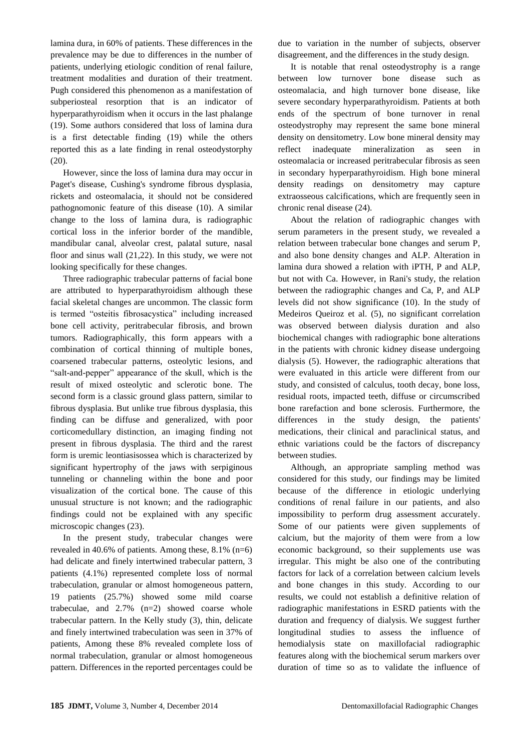lamina dura, in 60% of patients. These differences in the prevalence may be due to differences in the number of patients, underlying etiologic condition of renal failure, treatment modalities and duration of their treatment. Pugh considered this phenomenon as a manifestation of subperiosteal resorption that is an indicator of hyperparathyroidism when it occurs in the last phalange (19). Some authors considered that loss of lamina dura is a first detectable finding (19) while the others reported this as a late finding in renal osteodystorphy (20).

However, since the loss of lamina dura may occur in Paget's disease, Cushing's syndrome fibrous dysplasia, rickets and osteomalacia, it should not be considered pathognomonic feature of this disease (10). A similar change to the loss of lamina dura, is radiographic cortical loss in the inferior border of the mandible, mandibular canal, alveolar crest, palatal suture, nasal floor and sinus wall (21,22). In this study, we were not looking specifically for these changes.

Three radiographic trabecular patterns of facial bone are attributed to hyperparathyroidism although these facial skeletal changes are uncommon. The classic form is termed "osteitis fibrosacystica" including increased bone cell activity, peritrabecular fibrosis, and brown tumors. Radiographically, this form appears with a combination of cortical thinning of multiple bones, coarsened trabecular patterns, osteolytic lesions, and "salt-and-pepper" appearance of the skull, which is the result of mixed osteolytic and sclerotic bone. The second form is a classic ground glass pattern, similar to fibrous dysplasia. But unlike true fibrous dysplasia, this finding can be diffuse and generalized, with poor corticomedullary distinction, an imaging finding not present in fibrous dysplasia. The third and the rarest form is uremic leontiasisossea which is characterized by significant hypertrophy of the jaws with serpiginous tunneling or channeling within the bone and poor visualization of the cortical bone. The cause of this unusual structure is not known; and the radiographic findings could not be explained with any specific microscopic changes (23).

In the present study, trabecular changes were revealed in 40.6% of patients. Among these, 8.1% (n=6) had delicate and finely intertwined trabecular pattern, 3 patients (4.1%) represented complete loss of normal trabeculation, granular or almost homogeneous pattern, 19 patients (25.7%) showed some mild coarse trabeculae, and 2.7% (n=2) showed coarse whole trabecular pattern. In the Kelly study (3), thin, delicate and finely intertwined trabeculation was seen in 37% of patients, Among these 8% revealed complete loss of normal trabeculation, granular or almost homogeneous pattern. Differences in the reported percentages could be

due to variation in the number of subjects, observer disagreement, and the differences in the study design.

It is notable that renal osteodystrophy is a range between low turnover bone disease such as osteomalacia, and high turnover bone disease, like severe secondary hyperparathyroidism. Patients at both ends of the spectrum of bone turnover in renal osteodystrophy may represent the same bone mineral density on densitometry. Low bone mineral density may reflect inadequate mineralization as seen in osteomalacia or increased peritrabecular fibrosis as seen in secondary hyperparathyroidism. High bone mineral density readings on densitometry may capture extraosseous calcifications, which are frequently seen in chronic renal disease (24).

About the relation of radiographic changes with serum parameters in the present study, we revealed a relation between trabecular bone changes and serum P, and also bone density changes and ALP. Alteration in lamina dura showed a relation with iPTH, P and ALP, but not with Ca. However, in Rani's study, the relation between the radiographic changes and Ca, P, and ALP levels did not show significance (10). In the study of Medeiros Queiroz et al. (5), no significant correlation was observed between dialysis duration and also biochemical changes with radiographic bone alterations in the patients with chronic kidney disease undergoing dialysis (5). However, the radiographic alterations that were evaluated in this article were different from our study, and consisted of calculus, tooth decay, bone loss, residual roots, impacted teeth, diffuse or circumscribed bone rarefaction and bone sclerosis. Furthermore, the differences in the study design, the patients' medications, their clinical and paraclinical status, and ethnic variations could be the factors of discrepancy between studies.

Although, an appropriate sampling method was considered for this study, our findings may be limited because of the difference in etiologic underlying conditions of renal failure in our patients, and also impossibility to perform drug assessment accurately. Some of our patients were given supplements of calcium, but the majority of them were from a low economic background, so their supplements use was irregular. This might be also one of the contributing factors for lack of a correlation between calcium levels and bone changes in this study. According to our results, we could not establish a definitive relation of radiographic manifestations in ESRD patients with the duration and frequency of dialysis. We suggest further longitudinal studies to assess the influence of hemodialysis state on maxillofacial radiographic features along with the biochemical serum markers over duration of time so as to validate the influence of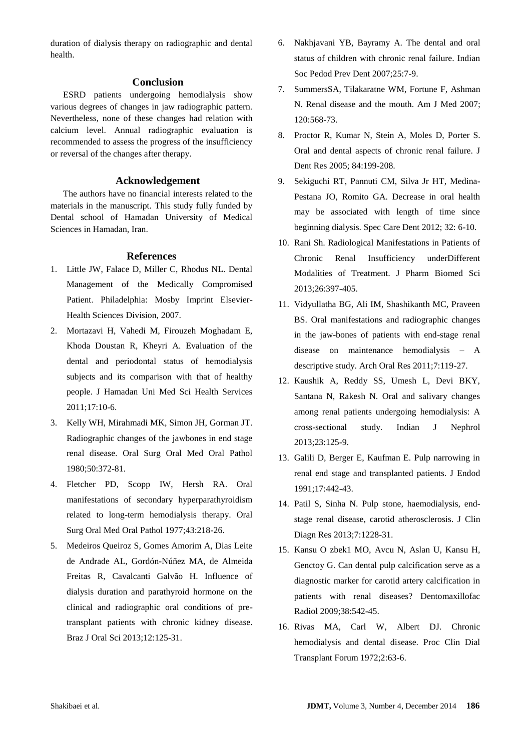duration of dialysis therapy on radiographic and dental health.

### **Conclusion**

ESRD patients undergoing hemodialysis show various degrees of changes in jaw radiographic pattern. Nevertheless, none of these changes had relation with calcium level. Annual radiographic evaluation is recommended to assess the progress of the insufficiency or reversal of the changes after therapy.

## **Acknowledgement**

The authors have no financial interests related to the materials in the manuscript. This study fully funded by Dental school of Hamadan University of Medical Sciences in Hamadan, Iran.

#### **References**

- 1. Little JW, Falace D, Miller C, Rhodus NL. Dental Management of the Medically Compromised Patient. Philadelphia: Mosby Imprint Elsevier-Health Sciences Division, 2007.
- 2. Mortazavi H, Vahedi M, Firouzeh Moghadam E, Khoda Doustan R, Kheyri A. Evaluation of the dental and periodontal status of hemodialysis subjects and its comparison with that of healthy people. J Hamadan Uni Med Sci Health Services 2011;17:10-6.
- 3. Kelly WH, Mirahmadi MK, Simon JH, Gorman JT. Radiographic changes of the jawbones in end stage renal disease. Oral Surg Oral Med Oral Pathol 1980;50:372-81.
- 4. Fletcher PD, Scopp IW, Hersh RA. Oral manifestations of secondary hyperparathyroidism related to long-term hemodialysis therapy. Oral Surg Oral Med Oral Pathol 1977;43:218-26.
- 5. Medeiros Queiroz S, Gomes Amorim A, Dias Leite de Andrade AL, Gordón-Núñez MA, de Almeida Freitas R, Cavalcanti Galvão H. Influence of dialysis duration and parathyroid hormone on the clinical and radiographic oral conditions of pretransplant patients with chronic kidney disease. Braz J Oral Sci 2013;12:125-31.
- 6. Nakhjavani YB, Bayramy A. The dental and oral status of children with chronic renal failure. Indian Soc Pedod Prev Dent 2007;25:7-9.
- 7. SummersSA, Tilakaratne WM, Fortune F, Ashman N. Renal disease and the mouth. Am J Med 2007; 120:568-73.
- 8. Proctor R, Kumar N, Stein A, Moles D, Porter S. Oral and dental aspects of chronic renal failure. J Dent Res 2005; 84:199-208.
- 9. Sekiguchi RT, Pannuti CM, Silva Jr HT, Medina-Pestana JO, Romito GA. Decrease in oral health may be associated with length of time since beginning dialysis. Spec Care Dent 2012; 32: 6-10.
- 10. Rani Sh. Radiological Manifestations in Patients of Chronic Renal Insufficiency underDifferent Modalities of Treatment. J Pharm Biomed Sci 2013;26:397-405.
- 11. Vidyullatha BG, Ali IM, Shashikanth MC, Praveen BS. Oral manifestations and radiographic changes in the jaw-bones of patients with end-stage renal disease on maintenance hemodialysis – A descriptive study. Arch Oral Res 2011;7:119-27.
- 12. Kaushik A, Reddy SS, Umesh L, Devi BKY, Santana N, Rakesh N. Oral and salivary changes among renal patients undergoing hemodialysis: A cross-sectional study. Indian J Nephrol 2013;23:125-9.
- 13. Galili D, Berger E, Kaufman E. Pulp narrowing in renal end stage and transplanted patients. J Endod 1991;17:442-43.
- 14. Patil S, Sinha N. Pulp stone, haemodialysis, endstage renal disease, carotid atherosclerosis. J Clin Diagn Res 2013;7:1228-31.
- 15. Kansu O zbek1 MO, Avcu N, Aslan U, Kansu H, Genctoy G. Can dental pulp calcification serve as a diagnostic marker for carotid artery calcification in patients with renal diseases? Dentomaxillofac Radiol 2009;38:542-45.
- 16. Rivas MA, Carl W, Albert DJ. Chronic hemodialysis and dental disease. Proc Clin Dial Transplant Forum 1972;2:63-6.